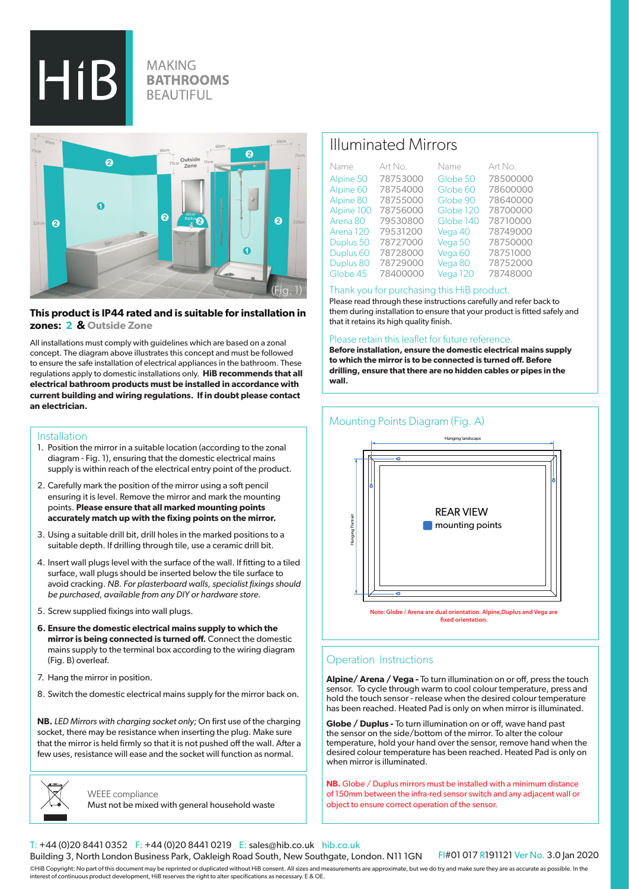$HiB$ 

## **MAKING BATHROOMS BEAUTIFUL**



## **This product is IP44 rated and is suitable for installation in zones: 2 & Outside Zone**

All installations must comply with guidelines which are based on a zonal concept. The diagram above illustrates this concept and must be followed to ensure the safe installation of electrical appliances in the bathroom. These regulations apply to domestic installations only. **HiB recommends that all electrical bathroom products must be installed in accordance with current building and wiring regulations. If in doubt please contact an electrician.**

#### Installation

- 1. Position the mirror in a suitable location (according to the zonal diagram - Fig. 1), ensuring that the domestic electrical mains supply is within reach of the electrical entry point of the product.
- 2. Carefully mark the position of the mirror using a soft pencil ensuring it is level. Remove the mirror and mark the mounting points. **Please ensure that all marked mounting points accurately match up with the fixing points on the mirror.**
- 3. Using a suitable drill bit, drill holes in the marked positions to a suitable depth. If drilling through tile, use a ceramic drill bit.
- 4. Insert wall plugs level with the surface of the wall. If fitting to a tiled surface, wall plugs should be inserted below the tile surface to avoid cracking. *NB. For plasterboard walls, specialist fixings should be purchased, available from any DIY or hardware store.*
- 5. Screw supplied fixings into wall plugs.
- **6. Ensure the domestic electrical mains supply to which the mirror is being connected is turned off.** Connect the domestic mains supply to the terminal box according to the wiring diagram (Fig. B) overleaf.
- 7. Hang the mirror in position.
- 8. Switch the domestic electrical mains supply for the mirror back on.

**NB.** *LED Mirrors with charging socket only;* On first use of the charging socket, there may be resistance when inserting the plug. Make sure that the mirror is held firmly so that it is not pushed off the wall. After a few uses, resistance will ease and the socket will function as normal.



WEEE compliance Must not be mixed with general household waste

# Illuminated Mirrors

| Name                 | Art No.  | Name      | Art No.  |
|----------------------|----------|-----------|----------|
| Alpine 50            | 78753000 | Globe 50  | 78500000 |
| Alpine 60            | 78754000 | Globe 60  | 78600000 |
| Alpine 80            | 78755000 | Globe 90  | 78640000 |
| Alpine 100           | 78756000 | Globe 120 | 78700000 |
| Arena 80             | 79530800 | Globe 140 | 78710000 |
| Arena 120            | 79531200 | Vega 40   | 78749000 |
| Duplus 50            | 78727000 | Vega 50   | 78750000 |
| Duplus <sub>60</sub> | 78728000 | Vega 60   | 78751000 |
| Duplus 80            | 78729000 | Vega 80   | 78752000 |
| Globe 45             | 78400000 | Vega 120  | 78748000 |

#### Thank you for purchasing this HiB product.

Please read through these instructions carefully and refer back to them during installation to ensure that your product is fitted safely and that it retains its high quality finish.

#### Please retain this leaflet for future reference.

**Before installation, ensure the domestic electrical mains supply to which the mirror is to be connected is turned off. Before drilling, ensure that there are no hidden cables or pipes in the wall.**



## Operation Instructions

**Alpine/ Arena / Vega -** To turn illumination on or off, press the touch sensor. To cycle through warm to cool colour temperature, press and hold the touch sensor - release when the desired colour temperature has been reached. Heated Pad is only on when mirror is illuminated.

**Globe / Duplus -** To turn illumination on or off, wave hand past the sensor on the side/bottom of the mirror. To alter the colour temperature, hold your hand over the sensor, remove hand when the desired colour temperature has been reached. Heated Pad is only on when mirror is illuminated.

**NB.** Globe / Duplus mirrors must be installed with a minimum distance of 150mm between the infra-red sensor switch and any adjacent wall or object to ensure correct operation of the sensor.

### T: +44 (0)20 8441 0352 F: +44 (0)20 8441 0219 E: sales@hib.co.uk hib.co.uk

Building 3, North London Business Park, Oakleigh Road South, New Southgate, London. N11 1GN

FI#01 017 R191121 Ver No. 3.0 Jan 2020

©HiB Copyright: No part of this document may be reprinted or duplicated without HiB consent. All sizes and measurements are approximate, but we do try and make sure they are as accurate as possible. In the interest of continuous product development, HiB reserves the right to alter specifications as necessary. E & OE.